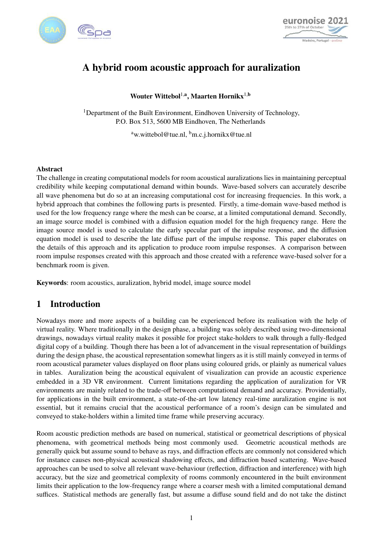



# A hybrid room acoustic approach for auralization

Wouter Wittebol<sup>1,a</sup>, Maarten Hornikx<sup>1,b</sup>

<sup>1</sup>Department of the Built Environment, Eindhoven University of Technology, P.O. Box 513, 5600 MB Eindhoven, The Netherlands

<sup>a</sup>w.wittebol@tue.nl, <sup>b</sup>m.c.j.hornikx@tue.nl

### Abstract

The challenge in creating computational models for room acoustical auralizations lies in maintaining perceptual credibility while keeping computational demand within bounds. Wave-based solvers can accurately describe all wave phenomena but do so at an increasing computational cost for increasing frequencies. In this work, a hybrid approach that combines the following parts is presented. Firstly, a time-domain wave-based method is used for the low frequency range where the mesh can be coarse, at a limited computational demand. Secondly, an image source model is combined with a diffusion equation model for the high frequency range. Here the image source model is used to calculate the early specular part of the impulse response, and the diffusion equation model is used to describe the late diffuse part of the impulse response. This paper elaborates on the details of this approach and its application to produce room impulse responses. A comparison between room impulse responses created with this approach and those created with a reference wave-based solver for a benchmark room is given.

Keywords: room acoustics, auralization, hybrid model, image source model

## 1 Introduction

Nowadays more and more aspects of a building can be experienced before its realisation with the help of virtual reality. Where traditionally in the design phase, a building was solely described using two-dimensional drawings, nowadays virtual reality makes it possible for project stake-holders to walk through a fully-fledged digital copy of a building. Though there has been a lot of advancement in the visual representation of buildings during the design phase, the acoustical representation somewhat lingers as it is still mainly conveyed in terms of room acoustical parameter values displayed on floor plans using coloured grids, or plainly as numerical values in tables. Auralization being the acoustical equivalent of visualization can provide an acoustic experience embedded in a 3D VR environment. Current limitations regarding the application of auralization for VR environments are mainly related to the trade-off between computational demand and accuracy. Providentially, for applications in the built environment, a state-of-the-art low latency real-time auralization engine is not essential, but it remains crucial that the acoustical performance of a room's design can be simulated and conveyed to stake-holders within a limited time frame while preserving accuracy.

Room acoustic prediction methods are based on numerical, statistical or geometrical descriptions of physical phenomena, with geometrical methods being most commonly used. Geometric acoustical methods are generally quick but assume sound to behave as rays, and diffraction effects are commonly not considered which for instance causes non-physical acoustical shadowing effects, and diffraction based scattering. Wave-based approaches can be used to solve all relevant wave-behaviour (reflection, diffraction and interference) with high accuracy, but the size and geometrical complexity of rooms commonly encountered in the built environment limits their application to the low-frequency range where a coarser mesh with a limited computational demand suffices. Statistical methods are generally fast, but assume a diffuse sound field and do not take the distinct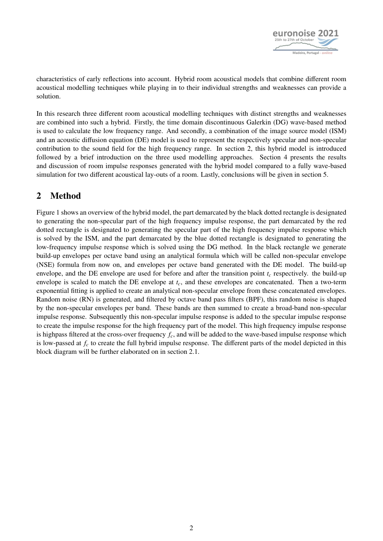

characteristics of early reflections into account. Hybrid room acoustical models that combine different room acoustical modelling techniques while playing in to their individual strengths and weaknesses can provide a solution.

In this research three different room acoustical modelling techniques with distinct strengths and weaknesses are combined into such a hybrid. Firstly, the time domain discontinuous Galerkin (DG) wave-based method is used to calculate the low frequency range. And secondly, a combination of the image source model (ISM) and an acoustic diffusion equation (DE) model is used to represent the respectively specular and non-specular contribution to the sound field for the high frequency range. In section [2,](#page-1-0) this hybrid model is introduced followed by a brief introduction on the three used modelling approaches. Section [4](#page-9-0) presents the results and discussion of room impulse responses generated with the hybrid model compared to a fully wave-based simulation for two different acoustical lay-outs of a room. Lastly, conclusions will be given in section [5.](#page-11-0)

## <span id="page-1-0"></span>2 Method

Figure [1](#page-2-0) shows an overview of the hybrid model, the part demarcated by the black dotted rectangle is designated to generating the non-specular part of the high frequency impulse response, the part demarcated by the red dotted rectangle is designated to generating the specular part of the high frequency impulse response which is solved by the ISM, and the part demarcated by the blue dotted rectangle is designated to generating the low-frequency impulse response which is solved using the DG method. In the black rectangle we generate build-up envelopes per octave band using an analytical formula which will be called non-specular envelope (NSE) formula from now on, and envelopes per octave band generated with the DE model. The build-up envelope, and the DE envelope are used for before and after the transition point *t<sup>c</sup>* respectively. the build-up envelope is scaled to match the DE envelope at *tc*, and these envelopes are concatenated. Then a two-term exponential fitting is applied to create an analytical non-specular envelope from these concatenated envelopes. Random noise (RN) is generated, and filtered by octave band pass filters (BPF), this random noise is shaped by the non-specular envelopes per band. These bands are then summed to create a broad-band non-specular impulse response. Subsequently this non-specular impulse response is added to the specular impulse response to create the impulse response for the high frequency part of the model. This high frequency impulse response is highpass filtered at the cross-over frequency *fc*, and will be added to the wave-based impulse response which is low-passed at *f<sup>c</sup>* to create the full hybrid impulse response. The different parts of the model depicted in this block diagram will be further elaborated on in section 2.1.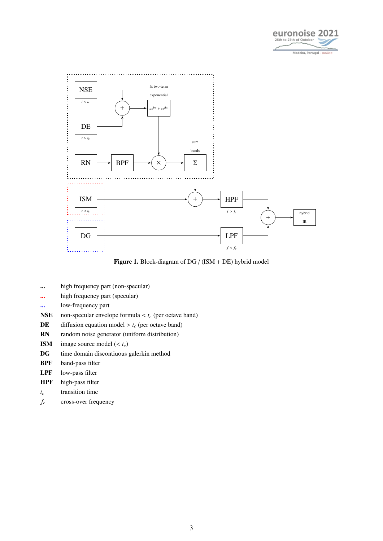

<span id="page-2-0"></span>

Figure 1. Block-diagram of DG / (ISM + DE) hybrid model

- ... high frequency part (non-specular)
- ... high frequency part (specular)
- ... low-frequency part
- **NSE** non-specular envelope formula  $lt$  *t<sub>c</sub>* (per octave band)<br>**DE** diffusion equation model  $gt$  *t<sub>c</sub>* (per octave band)
- **DE** diffusion equation model  $> t_c$  (per octave band)<br>**RN** random noise generator (uniform distribution)
- random noise generator (uniform distribution)
- **ISM** image source model ( $lt; t_c$ )<br>**DG** time domain discontiuous
- time domain discontiuous galerkin method
- BPF band-pass filter
- LPF low-pass filter
- HPF high-pass filter
- *t<sup>c</sup>* transition time
- *f<sup>c</sup>* cross-over frequency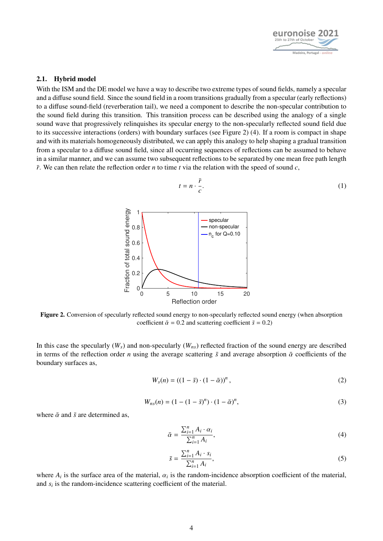

### 2.1. Hybrid model

<span id="page-3-1"></span>With the ISM and the DE model we have a way to describe two extreme types of sound fields, namely a specular and a diffuse sound field. Since the sound field in a room transitions gradually from a specular (early reflections) to a diffuse sound-field (reverberation tail), we need a component to describe the non-specular contribution to the sound field during this transition. This transition process can be described using the analogy of a single sound wave that progressively relinquishes its specular energy to the non-specularly reflected sound field due to its successive interactions (orders) with boundary surfaces (see Figure [2\)](#page-3-0) [\(4\)](#page-11-1). If a room is compact in shape and with its materials homogeneously distributed, we can apply this analogy to help shaping a gradual transition from a specular to a diffuse sound field, since all occurring sequences of reflections can be assumed to behave in a similar manner, and we can assume two subsequent reflections to be separated by one mean free path length  $\bar{r}$ . We can then relate the reflection order *n* to time *t* via the relation with the speed of sound *c*,

$$
t = n \cdot \frac{\bar{r}}{c}.\tag{1}
$$

<span id="page-3-0"></span>

Figure 2. Conversion of specularly reflected sound energy to non-specularly reflected sound energy (when absorption coefficient  $\bar{\alpha} = 0.2$  and scattering coefficient  $\bar{s} = 0.2$ )

In this case the specularly  $(W_s)$  and non-specularly  $(W_{ns})$  reflected fraction of the sound energy are described in terms of the reflection order *n* using the average scattering  $\bar{s}$  and average absorption  $\bar{\alpha}$  coefficients of the boundary surfaces as,

$$
W_s(n) = \left( (1 - \bar{s}) \cdot (1 - \bar{\alpha}) \right)^n,\tag{2}
$$

$$
W_{ns}(n) = (1 - (1 - \bar{s})^n) \cdot (1 - \bar{\alpha})^n,
$$
\n(3)

<span id="page-3-2"></span>where  $\bar{\alpha}$  and  $\bar{s}$  are determined as,

$$
\bar{\alpha} = \frac{\sum_{i=1}^{n} A_i \cdot \alpha_i}{\sum_{i=1}^{n} A_i},\tag{4}
$$

$$
\bar{s} = \frac{\sum_{i=1}^{n} A_i \cdot s_i}{\sum_{i=1}^{n} A_i},\tag{5}
$$

where  $A_i$  is the surface area of the material,  $\alpha_i$  is the random-incidence absorption coefficient of the material, and  $s_i$  is the random-incidence scattering coefficient of the material.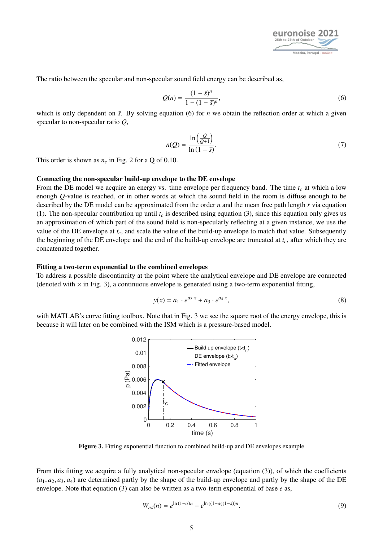

<span id="page-4-0"></span>The ratio between the specular and non-specular sound field energy can be described as,

$$
Q(n) = \frac{(1 - \bar{s})^n}{1 - (1 - \bar{s})^n},
$$
\n(6)

which is only dependent on  $\bar{s}$ . By solving equation [\(6\)](#page-4-0) for *n* we obtain the reflection order at which a given specular to non-specular ratio *Q*,

$$
n(Q) = \frac{\ln\left(\frac{Q}{Q+1}\right)}{\ln\left(1-\bar{s}\right)}.\tag{7}
$$

This order is shown as  $n_c$  in Fig. [2](#page-3-0) for a Q of 0.10.

### Connecting the non-specular build-up envelope to the DE envelope

From the DE model we acquire an energy vs. time envelope per frequency band. The time *t<sup>c</sup>* at which a low enough *Q*-value is reached, or in other words at which the sound field in the room is diffuse enough to be described by the DE model can be approximated from the order *n* and the mean free path length  $\bar{r}$  via equation [\(1\)](#page-3-1). The non-specular contribution up until  $t_c$  is described using equation [\(3\)](#page-3-2), since this equation only gives us an approximation of which part of the sound field is non-specularly reflecting at a given instance, we use the value of the DE envelope at *tc*, and scale the value of the build-up envelope to match that value. Subsequently the beginning of the DE envelope and the end of the build-up envelope are truncated at *tc*, after which they are concatenated together.

### Fitting a two-term exponential to the combined envelopes

To address a possible discontinuity at the point where the analytical envelope and DE envelope are connected (denoted with  $\times$  in Fig. [3\)](#page-4-1), a continuous envelope is generated using a two-term exponential fitting,

$$
y(x) = a_1 \cdot e^{a_2 \cdot x} + a_3 \cdot e^{a_4 \cdot x},
$$
\n(8)

<span id="page-4-1"></span>with MATLAB's curve fitting toolbox. Note that in Fig. [3](#page-4-1) we see the square root of the energy envelope, this is because it will later on be combined with the ISM which is a pressure-based model.



Figure 3. Fitting exponential function to combined build-up and DE envelopes example

From this fitting we acquire a fully analytical non-specular envelope (equation [\(3\)](#page-3-2)), of which the coefficients  $(a_1, a_2, a_3, a_4)$  are determined partly by the shape of the build-up envelope and partly by the shape of the DE envelope. Note that equation [\(3\)](#page-3-2) can also be written as a two-term exponential of base *e* as,

$$
W_{ns}(n) = e^{\ln(1-\bar{\alpha})n} - e^{\ln((1-\bar{\alpha})(1-\bar{s}))n}.
$$
\n(9)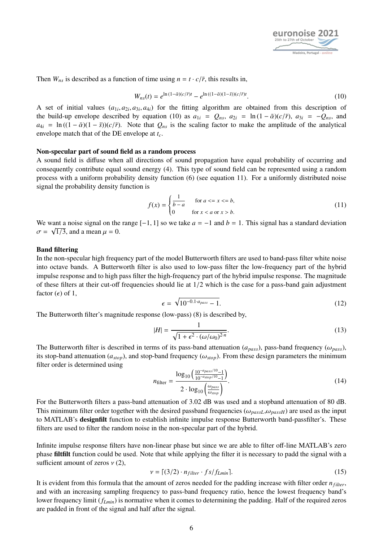

<span id="page-5-0"></span>Then  $W_{ns}$  is described as a function of time using  $n = t \cdot c/\bar{r}$ , this results in,

$$
W_{ns}(t) = e^{\ln(1-\bar{\alpha})(c/\bar{r})t} - e^{\ln((1-\bar{\alpha})(1-\bar{s}))(c/\bar{r})t}.
$$
\n(10)

A set of initial values  $(a_{1i}, a_{2i}, a_{3i}, a_{4i})$  for the fitting algorithm are obtained from this description of<br>the build-up envelope described by equation (10) as  $a_{1i} = Q_{1i} = \ln(1 - \bar{\phi})(c/\bar{r})$  as  $\sigma = -Q_{2i}$  and the build-up envelope described by equation [\(10\)](#page-5-0) as  $a_{1i} = Q_{ns}$ ,  $a_{2i} = \ln(1 - \bar{\alpha})(c/\bar{r})$ ,  $a_{3i} = -Q_{ns}$ , and  $a_{4i} = \ln((1 - \bar{\alpha})(1 - \bar{s}))(c/\bar{r})$ . Note that  $Q_{ns}$  is the scaling factor to make the amplitude of the analytical envelope match that of the DE envelope at *tc*.

### Non-specular part of sound field as a random process

A sound field is diffuse when all directions of sound propagation have equal probability of occurring and consequently contribute equal sound energy [\(4\)](#page-11-1). This type of sound field can be represented using a random process with a uniform probability density function [\(6\)](#page-11-2) (see equation [11\)](#page-5-1). For a uniformly distributed noise signal the probability density function is

<span id="page-5-1"></span>
$$
f(x) = \begin{cases} \frac{1}{b-a} & \text{for } a <= x <= b, \\ 0 & \text{for } x < a \text{ or } x > b. \end{cases} \tag{11}
$$

We want a noise signal on the range  $[-1, 1]$  so we take  $a = -1$  and  $b = 1$ . This signal has a standard deviation  $\sigma = \sqrt{1/3}$  and a mean  $\mu = 0$  $\sigma = \sqrt{1/3}$ , and a mean  $\mu = 0$ .

### Band filtering

In the non-specular high frequency part of the model Butterworth filters are used to band-pass filter white noise into octave bands. A Butterworth filter is also used to low-pass filter the low-frequency part of the hybrid impulse response and to high pass filter the high-frequency part of the hybrid impulse response. The magnitude of these filters at their cut-off frequencies should lie at 1/2 which is the case for a pass-band gain adjustment factor  $(\epsilon)$  of 1,

$$
\epsilon = \sqrt{10^{-0.1 \cdot a_{pass}} - 1}.\tag{12}
$$

The Butterworth filter's magnitude response (low-pass) [\(8\)](#page-11-3) is described by,

$$
|H| = \frac{1}{\sqrt{1 + \epsilon^2 \cdot (\omega/\omega_0)^{2n}}}.
$$
\n(13)

The Butterworth filter is described in terms of its pass-band attenuation  $(a_{pass})$ , pass-band frequency  $(\omega_{pass})$ , its stop band attenuation  $(a_{post})$ , and stop band frequency  $(\omega_{post})$ . From these design parameters the minimum its stop-band attenuation ( $a_{stop}$ ), and stop-band frequency ( $\omega_{stop}$ ). From these design parameters the minimum filter order is determined using

$$
n_{\text{filter}} = \frac{\log_{10}\left(\frac{10^{-a_{pass}/10} - 1}{10^{-a_{stop}/10} - 1}\right)}{2 \cdot \log_{10}\left(\frac{\omega_{pass}}{\omega_{stop}}\right)}.
$$
(14)

For the Butterworth filters a pass-band attenuation of 3.02 dB was used and a stopband attenuation of 80 dB. This minimum filter order together with the desired passband frequencies ( $\omega_{passL}, \omega_{passH}$ ) are used as the input to MATLAB's designfilt function to establish infinite impulse response Butterworth band-passfilter's. These filters are used to filter the random noise in the non-specular part of the hybrid.

Infinite impulse response filters have non-linear phase but since we are able to filter off-line MATLAB's zero phase filtfilt function could be used. Note that while applying the filter it is necessary to padd the signal with a sufficient amount of zeros  $v(2)$  $v(2)$ ,

$$
\nu = \lceil (3/2) \cdot n_{filter} \cdot fs/f_{Lmin} \rceil. \tag{15}
$$

It is evident from this formula that the amount of zeros needed for the padding increase with filter order *nf ilter*, and with an increasing sampling frequency to pass-band frequency ratio, hence the lowest frequency band's lower frequency limit (*fLmin*) is normative when it comes to determining the padding. Half of the required zeros are padded in front of the signal and half after the signal.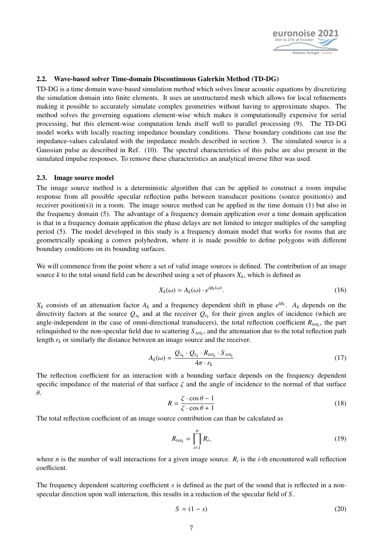

### 2.2. Wave-based solver Time-domain Discontinuous Galerkin Method (TD-DG)

TD-DG is a time domain wave-based simulation method which solves linear acoustic equations by discretizing the simulation domain into finite elements. It uses an unstructured mesh which allows for local refinements making it possible to accurately simulate complex geometries without having to approximate shapes. The method solves the governing equations element-wise which makes it computationally expensive for serial processing, but this element-wise computation lends itself well to parallel processing [\(9\)](#page-11-5). The TD-DG model works with locally reacting impedance boundary conditions. These boundary conditions can use the impedance-values calculated with the impedance models described in section [3.](#page-7-0) The simulated source is a Gaussian pulse as described in Ref. [\(10\)](#page-11-6). The spectral characteristics of this pulse are also present in the simulated impulse responses. To remove these characteristics an analytical inverse filter was used.

### 2.3. Image source model

The image source method is a deterministic algorithm that can be applied to construct a room impulse response from all possible specular reflection paths between transducer positions (source position(s) and receiver position(s)) in a room. The image source method can be applied in the time domain [\(1\)](#page-11-7) but also in the frequency domain [\(5\)](#page-11-8). The advantage of a frequency domain application over a time domain application is that in a frequency domain application the phase delays are not limited to integer multiples of the sampling period [\(5\)](#page-11-8). The model developed in this study is a frequency domain model that works for rooms that are geometrically speaking a convex polyhedron, where it is made possible to define polygons with different boundary conditions on its bounding surfaces.

We will commence from the point where a set of valid image sources is defined. The contribution of an image source *k* to the total sound field can be described using a set of phasors  $X_k$ , which is defined as

$$
X_k(\omega) = A_k(\omega) \cdot e^{i\phi_k(\omega)}.
$$
 (16)

*X*<sub>*k*</sub> consists of an attenuation factor  $A_k$  and a frequency dependent shift in phase  $e^{i\phi_k}$ .  $A_k$  depends on the directivity factors at the source  $Q_{s_k}$  and at the receiver  $Q_{r_k}$  for their given angles of incidence (which are angle-independent in the case of omni-directional transducers), the total reflection coefficient  $R_{tot_k}$ , the part relinquished to the non-specular field due to scattering *S tot<sup>k</sup>* , and the attenuation due to the total reflection path length  $r_k$  or similarly the distance between an image source and the receiver.

$$
A_k(\omega) = \frac{Q_{s_k} \cdot Q_{r_k} \cdot R_{tot_k} \cdot S_{tot_k}}{4\pi \cdot r_k} \tag{17}
$$

The reflection coefficient for an interaction with a bounding surface depends on the frequency dependent specific impedance of the material of that surface  $\zeta$  and the angle of incidence to the normal of that surface θ.

$$
R = \frac{\zeta \cdot \cos \theta - 1}{\zeta \cdot \cos \theta + 1}
$$
 (18)

The total reflection coefficient of an image source contribution can than be calculated as

$$
R_{tot_k} = \prod_{i=1}^n R_i, \tag{19}
$$

where *n* is the number of wall interactions for a given image source.  $R_i$  is the *i*-th encountered wall reflection coefficient.

The frequency dependent scattering coefficient *s* is defined as the part of the sound that is reflected in a nonspecular direction upon wall interaction, this results in a reduction of the specular field of *S* .

$$
S = (1 - s) \tag{20}
$$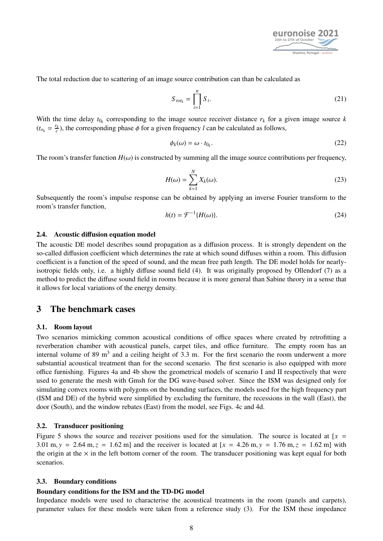

The total reduction due to scattering of an image source contribution can than be calculated as

$$
S_{tot_k} = \prod_{i=1}^n S_i.
$$
 (21)

With the time delay  $t_{0k}$  corresponding to the image source receiver distance  $r_k$  for a given image source  $k$  $(t_{o_k} = \frac{r_k}{c})$ , the corresponding phase  $\phi$  for a given frequency *l* can be calculated as follows,

$$
\phi_k(\omega) = \omega \cdot t_{0_k}.\tag{22}
$$

The room's transfer function  $H(\omega)$  is constructed by summing all the image source contributions per frequency,

$$
H(\omega) = \sum_{k=1}^{N} X_k(\omega).
$$
 (23)

Subsequently the room's impulse response can be obtained by applying an inverse Fourier transform to the room's transfer function,

$$
h(t) = \mathcal{F}^{-1}\{H(\omega)\}.
$$
 (24)

#### 2.4. Acoustic diffusion equation model

The acoustic DE model describes sound propagation as a diffusion process. It is strongly dependent on the so-called diffusion coefficient which determines the rate at which sound diffuses within a room. This diffusion coefficient is a function of the speed of sound, and the mean free path length. The DE model holds for nearlyisotropic fields only, i.e. a highly diffuse sound field [\(4\)](#page-11-1). It was originally proposed by Ollendorf [\(7\)](#page-11-9) as a method to predict the diffuse sound field in rooms because it is more general than Sabine theory in a sense that it allows for local variations of the energy density.

### 3 The benchmark cases

### 3.1. Room layout

Two scenarios mimicking common acoustical conditions of office spaces where created by retrofitting a reverberation chamber with acoustical panels, carpet tiles, and office furniture. The empty room has an internal volume of 89 m<sup>3</sup> and a ceiling height of 3.3 m. For the first scenario the room underwent a more substantial acoustical treatment than for the second scenario. The first scenario is also equipped with more office furnishing. Figures [4a](#page-8-0) and [4b](#page-8-0) show the geometrical models of scenario I and II respectively that were used to generate the mesh with Gmsh for the DG wave-based solver. Since the ISM was designed only for simulating convex rooms with polygons on the bounding surfaces, the models used for the high frequency part (ISM and DE) of the hybrid were simplified by excluding the furniture, the recessions in the wall (East), the door (South), and the window rebates (East) from the model, see Figs. [4c](#page-8-0) and [4d.](#page-8-0)

### 3.2. Transducer positioning

Figure [5](#page-9-1) shows the source and receiver positions used for the simulation. The source is located at  $[x =$ 3.01 m,  $y = 2.64$  m,  $z = 1.62$  m] and the receiver is located at  $[x = 4.26$  m,  $y = 1.76$  m,  $z = 1.62$  m] with the origin at the  $\times$  in the left bottom corner of the room. The transducer positioning was kept equal for both scenarios.

#### <span id="page-7-0"></span>3.3. Boundary conditions

#### Boundary conditions for the ISM and the TD-DG model

Impedance models were used to characterise the acoustical treatments in the room (panels and carpets), parameter values for these models were taken from a reference study [\(3\)](#page-11-10). For the ISM these impedance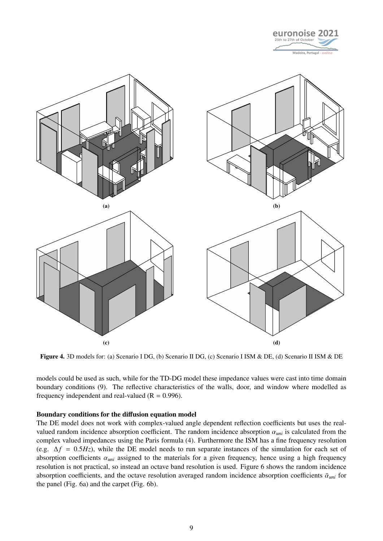

<span id="page-8-0"></span>

Figure 4. 3D models for: (a) Scenario I DG, (b) Scenario II DG, (c) Scenario I ISM & DE, (d) Scenario II ISM & DE

models could be used as such, while for the TD-DG model these impedance values were cast into time domain boundary conditions [\(9\)](#page-11-5). The reflective characteristics of the walls, door, and window where modelled as frequency independent and real-valued  $(R = 0.996)$ .

### Boundary conditions for the diffusion equation model

The DE model does not work with complex-valued angle dependent reflection coefficients but uses the realvalued random incidence absorption coefficient. The random incidence absorption  $\alpha_{uni}$  is calculated from the complex valued impedances using the Paris formula [\(4\)](#page-11-1). Furthermore the ISM has a fine frequency resolution (e.g. <sup>∆</sup>*<sup>f</sup>* <sup>=</sup> <sup>0</sup>.5*Hz*), while the DE model needs to run separate instances of the simulation for each set of absorption coefficients  $\alpha_{uni}$  assigned to the materials for a given frequency, hence using a high frequency resolution is not practical, so instead an octave band resolution is used. Figure [6](#page-9-2) shows the random incidence absorption coefficients, and the octave resolution averaged random incidence absorption coefficients  $\bar{\alpha}_{uni}$  for the panel (Fig. [6a\)](#page-9-2) and the carpet (Fig. [6b\)](#page-9-2).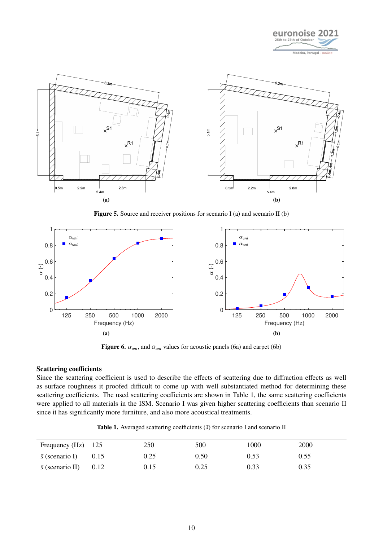

<span id="page-9-1"></span>

Figure 5. Source and receiver positions for scenario I (a) and scenario II (b)

<span id="page-9-2"></span>

Figure 6.  $\alpha_{uni}$ , and  $\bar{\alpha}_{uni}$  values for acoustic panels [\(6a\)](#page-9-2) and carpet [\(6b\)](#page-9-2)

### Scattering coefficients

Since the scattering coefficient is used to describe the effects of scattering due to diffraction effects as well as surface roughness it proofed difficult to come up with well substantiated method for determining these scattering coefficients. The used scattering coefficients are shown in Table [1,](#page-9-3) the same scattering coefficients were applied to all materials in the ISM. Scenario I was given higher scattering coefficients than scenario II since it has significantly more furniture, and also more acoustical treatments.

|  |  |  | <b>Table 1.</b> Averaged scattering coefficients $(\bar{s})$ for scenario I and scenario II |  |
|--|--|--|---------------------------------------------------------------------------------------------|--|
|  |  |  |                                                                                             |  |

<span id="page-9-3"></span><span id="page-9-0"></span>

| Frequency $(Hz)$ 125    |      | 250  | 500  | 1000 | 2000 |  |
|-------------------------|------|------|------|------|------|--|
| $\bar{s}$ (scenario I)  | 0.15 | 0.25 | 0.50 | 0.53 | 0.55 |  |
| $\bar{s}$ (scenario II) | 0.12 | 0.15 | 0.25 | 0.33 | 0.35 |  |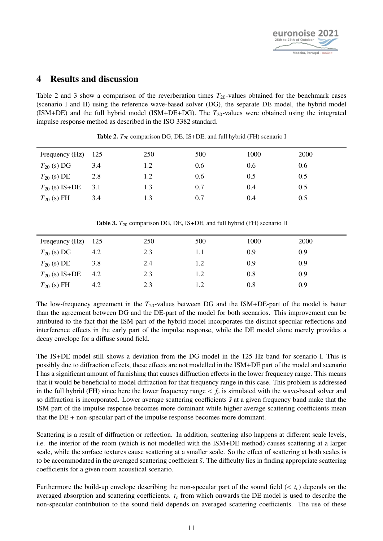

## 4 Results and discussion

Table [2](#page-10-0) and [3](#page-10-1) show a comparison of the reverberation times  $T_{20}$ -values obtained for the benchmark cases (scenario I and II) using the reference wave-based solver (DG), the separate DE model, the hybrid model (ISM+DE) and the full hybrid model (ISM+DE+DG). The *T*20-values were obtained using the integrated impulse response method as described in the ISO 3382 standard.

<span id="page-10-0"></span>

| Frequency (Hz)     | -125 | 250 | 500 | 1000 | 2000 |
|--------------------|------|-----|-----|------|------|
| $T_{20}$ (s) DG    | 3.4  | 1.2 | 0.6 | 0.6  | 0.6  |
| $T_{20}$ (s) DE    | 2.8  | 1.2 | 0.6 | 0.5  | 0.5  |
| $T_{20}$ (s) IS+DE | 3.1  | 1.3 | 0.7 | 0.4  | 0.5  |
| $T_{20}$ (s) FH    | 3.4  | 1.3 | 0.7 | 0.4  | 0.5  |

**Table 2.**  $T_{20}$  comparison DG, DE, IS+DE, and full hybrid (FH) scenario I

<span id="page-10-1"></span>

| Frequency (Hz) 125 |     | 250 | 500 | 1000 | 2000 |
|--------------------|-----|-----|-----|------|------|
| $T_{20}$ (s) DG    | 4.2 | 2.3 | 1.1 | 0.9  | 0.9  |
| $T_{20}$ (s) DE    | 3.8 | 2.4 | 1.2 | 0.9  | 0.9  |
| $T_{20}$ (s) IS+DE | 4.2 | 2.3 | 1.2 | 0.8  | 0.9  |
| $T_{20}$ (s) FH    | 4.2 | 2.3 | 1.2 | 0.8  | 0.9  |

Table 3.  $T_{20}$  comparison DG, DE, IS+DE, and full hybrid (FH) scenario II

The low-frequency agreement in the *T*20-values between DG and the ISM+DE-part of the model is better than the agreement between DG and the DE-part of the model for both scenarios. This improvement can be attributed to the fact that the ISM part of the hybrid model incorporates the distinct specular reflections and interference effects in the early part of the impulse response, while the DE model alone merely provides a decay envelope for a diffuse sound field.

The IS+DE model still shows a deviation from the DG model in the 125 Hz band for scenario I. This is possibly due to diffraction effects, these effects are not modelled in the ISM+DE part of the model and scenario I has a significant amount of furnishing that causes diffraction effects in the lower frequency range. This means that it would be beneficial to model diffraction for that frequency range in this case. This problem is addressed in the full hybrid (FH) since here the lower frequency range  $\lt f_c$  is simulated with the wave-based solver and so diffraction is incorporated. Lower average scattering coefficients  $\bar{s}$  at a given frequency band make that the ISM part of the impulse response becomes more dominant while higher average scattering coefficients mean that the DE + non-specular part of the impulse response becomes more dominant.

Scattering is a result of diffraction or reflection. In addition, scattering also happens at different scale levels, i.e. the interior of the room (which is not modelled with the ISM+DE method) causes scattering at a larger scale, while the surface textures cause scattering at a smaller scale. So the effect of scattering at both scales is to be accommodated in the averaged scattering coefficient  $\bar{s}$ . The difficulty lies in finding appropriate scattering coefficients for a given room acoustical scenario.

Furthermore the build-up envelope describing the non-specular part of the sound field (< *<sup>t</sup>c*) depends on the averaged absorption and scattering coefficients. *t<sup>c</sup>* from which onwards the DE model is used to describe the non-specular contribution to the sound field depends on averaged scattering coefficients. The use of these